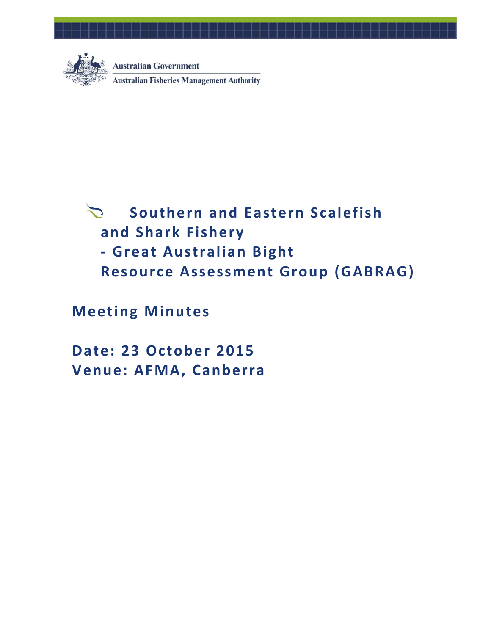

**Australian Government Australian Fisheries Management Authority** 

# **Southern and Eastern Scalefish**   $\sum$ **and Shark Fishery - Great Australian Bight Resource Assessment Group (GABRAG)**

**Meeting Minutes**

**Date: 23 October 2015 Venue: AFMA, Canberra**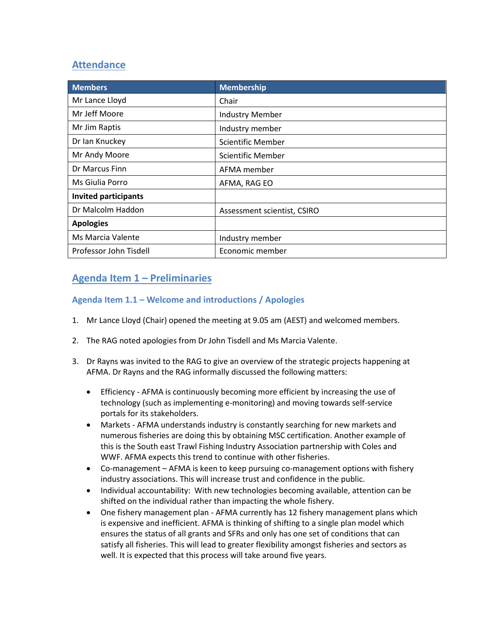## **Attendance**

| <b>Members</b>              | <b>Membership</b>           |
|-----------------------------|-----------------------------|
| Mr Lance Lloyd              | Chair                       |
| Mr Jeff Moore               | <b>Industry Member</b>      |
| Mr Jim Raptis               | Industry member             |
| Dr Ian Knuckey              | <b>Scientific Member</b>    |
| Mr Andy Moore               | <b>Scientific Member</b>    |
| Dr Marcus Finn              | AFMA member                 |
| Ms Giulia Porro             | AFMA, RAG EO                |
| <b>Invited participants</b> |                             |
| Dr Malcolm Haddon           | Assessment scientist, CSIRO |
| <b>Apologies</b>            |                             |
| Ms Marcia Valente           | Industry member             |
| Professor John Tisdell      | Economic member             |

## **Agenda Item 1 – Preliminaries**

## **Agenda Item 1.1 – Welcome and introductions / Apologies**

- 1. Mr Lance Lloyd (Chair) opened the meeting at 9.05 am (AEST) and welcomed members.
- 2. The RAG noted apologies from Dr John Tisdell and Ms Marcia Valente.
- 3. Dr Rayns was invited to the RAG to give an overview of the strategic projects happening at AFMA. Dr Rayns and the RAG informally discussed the following matters:
	- Efficiency AFMA is continuously becoming more efficient by increasing the use of technology (such as implementing e-monitoring) and moving towards self-service portals for its stakeholders.
	- Markets AFMA understands industry is constantly searching for new markets and numerous fisheries are doing this by obtaining MSC certification. Another example of this is the South east Trawl Fishing Industry Association partnership with Coles and WWF. AFMA expects this trend to continue with other fisheries.
	- Co-management AFMA is keen to keep pursuing co-management options with fishery industry associations. This will increase trust and confidence in the public.
	- Individual accountability: With new technologies becoming available, attention can be shifted on the individual rather than impacting the whole fishery.
	- One fishery management plan AFMA currently has 12 fishery management plans which is expensive and inefficient. AFMA is thinking of shifting to a single plan model which ensures the status of all grants and SFRs and only has one set of conditions that can satisfy all fisheries. This will lead to greater flexibility amongst fisheries and sectors as well. It is expected that this process will take around five years.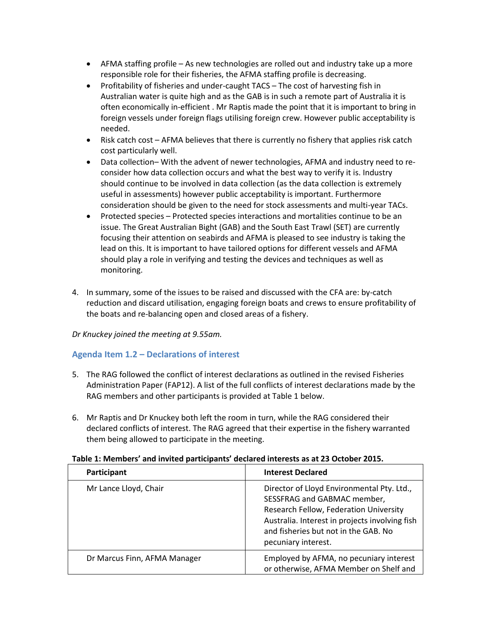- AFMA staffing profile As new technologies are rolled out and industry take up a more responsible role for their fisheries, the AFMA staffing profile is decreasing.
- Profitability of fisheries and under-caught TACS The cost of harvesting fish in Australian water is quite high and as the GAB is in such a remote part of Australia it is often economically in-efficient . Mr Raptis made the point that it is important to bring in foreign vessels under foreign flags utilising foreign crew. However public acceptability is needed.
- $\bullet$  Risk catch cost AFMA believes that there is currently no fishery that applies risk catch cost particularly well.
- Data collection– With the advent of newer technologies, AFMA and industry need to reconsider how data collection occurs and what the best way to verify it is. Industry should continue to be involved in data collection (as the data collection is extremely useful in assessments) however public acceptability is important. Furthermore consideration should be given to the need for stock assessments and multi-year TACs.
- Protected species Protected species interactions and mortalities continue to be an issue. The Great Australian Bight (GAB) and the South East Trawl (SET) are currently focusing their attention on seabirds and AFMA is pleased to see industry is taking the lead on this. It is important to have tailored options for different vessels and AFMA should play a role in verifying and testing the devices and techniques as well as monitoring.
- 4. In summary, some of the issues to be raised and discussed with the CFA are: by-catch reduction and discard utilisation, engaging foreign boats and crews to ensure profitability of the boats and re-balancing open and closed areas of a fishery.

*Dr Knuckey joined the meeting at 9.55am.* 

## **Agenda Item 1.2 – Declarations of interest**

- 5. The RAG followed the conflict of interest declarations as outlined in the revised Fisheries Administration Paper (FAP12). A list of the full conflicts of interest declarations made by the RAG members and other participants is provided at Table 1 below.
- 6. Mr Raptis and Dr Knuckey both left the room in turn, while the RAG considered their declared conflicts of interest. The RAG agreed that their expertise in the fishery warranted them being allowed to participate in the meeting.

#### **Table 1: Members' and invited participants' declared interests as at 23 October 2015.**

| Participant                  | <b>Interest Declared</b>                                                                                                                                                                                                             |  |
|------------------------------|--------------------------------------------------------------------------------------------------------------------------------------------------------------------------------------------------------------------------------------|--|
| Mr Lance Lloyd, Chair        | Director of Lloyd Environmental Pty. Ltd.,<br>SESSFRAG and GABMAC member,<br>Research Fellow, Federation University<br>Australia. Interest in projects involving fish<br>and fisheries but not in the GAB. No<br>pecuniary interest. |  |
| Dr Marcus Finn, AFMA Manager | Employed by AFMA, no pecuniary interest<br>or otherwise, AFMA Member on Shelf and                                                                                                                                                    |  |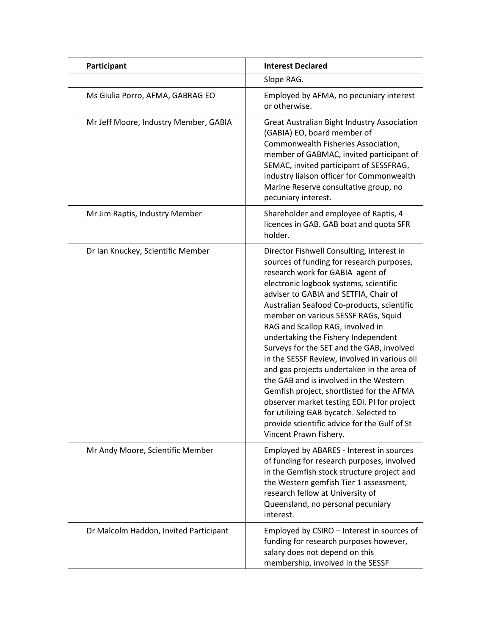| Participant                            | <b>Interest Declared</b>                                                                                                                                                                                                                                                                                                                                                                                                                                                                                                                                                                                                                                                                                                                                                           |
|----------------------------------------|------------------------------------------------------------------------------------------------------------------------------------------------------------------------------------------------------------------------------------------------------------------------------------------------------------------------------------------------------------------------------------------------------------------------------------------------------------------------------------------------------------------------------------------------------------------------------------------------------------------------------------------------------------------------------------------------------------------------------------------------------------------------------------|
|                                        | Slope RAG.                                                                                                                                                                                                                                                                                                                                                                                                                                                                                                                                                                                                                                                                                                                                                                         |
| Ms Giulia Porro, AFMA, GABRAG EO       | Employed by AFMA, no pecuniary interest<br>or otherwise.                                                                                                                                                                                                                                                                                                                                                                                                                                                                                                                                                                                                                                                                                                                           |
| Mr Jeff Moore, Industry Member, GABIA  | <b>Great Australian Bight Industry Association</b><br>(GABIA) EO, board member of<br>Commonwealth Fisheries Association,<br>member of GABMAC, invited participant of<br>SEMAC, invited participant of SESSFRAG,<br>industry liaison officer for Commonwealth<br>Marine Reserve consultative group, no<br>pecuniary interest.                                                                                                                                                                                                                                                                                                                                                                                                                                                       |
| Mr Jim Raptis, Industry Member         | Shareholder and employee of Raptis, 4<br>licences in GAB. GAB boat and quota SFR<br>holder.                                                                                                                                                                                                                                                                                                                                                                                                                                                                                                                                                                                                                                                                                        |
| Dr Ian Knuckey, Scientific Member      | Director Fishwell Consulting, interest in<br>sources of funding for research purposes,<br>research work for GABIA agent of<br>electronic logbook systems, scientific<br>adviser to GABIA and SETFIA, Chair of<br>Australian Seafood Co-products, scientific<br>member on various SESSF RAGs, Squid<br>RAG and Scallop RAG, involved in<br>undertaking the Fishery Independent<br>Surveys for the SET and the GAB, involved<br>in the SESSF Review, involved in various oil<br>and gas projects undertaken in the area of<br>the GAB and is involved in the Western<br>Gemfish project, shortlisted for the AFMA<br>observer market testing EOI. PI for project<br>for utilizing GAB bycatch. Selected to<br>provide scientific advice for the Gulf of St<br>Vincent Prawn fishery. |
| Mr Andy Moore, Scientific Member       | Employed by ABARES - Interest in sources<br>of funding for research purposes, involved<br>in the Gemfish stock structure project and<br>the Western gemfish Tier 1 assessment,<br>research fellow at University of<br>Queensland, no personal pecuniary<br>interest.                                                                                                                                                                                                                                                                                                                                                                                                                                                                                                               |
| Dr Malcolm Haddon, Invited Participant | Employed by CSIRO - Interest in sources of<br>funding for research purposes however,<br>salary does not depend on this<br>membership, involved in the SESSF                                                                                                                                                                                                                                                                                                                                                                                                                                                                                                                                                                                                                        |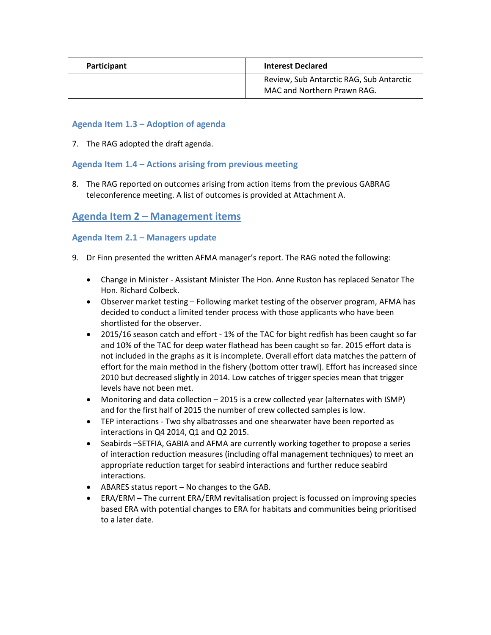| <b>Participant</b> | <b>Interest Declared</b>                                                |
|--------------------|-------------------------------------------------------------------------|
|                    | Review, Sub Antarctic RAG, Sub Antarctic<br>MAC and Northern Prawn RAG. |

## **Agenda Item 1.3 – Adoption of agenda**

7. The RAG adopted the draft agenda.

### **Agenda Item 1.4 – Actions arising from previous meeting**

8. The RAG reported on outcomes arising from action items from the previous GABRAG teleconference meeting. A list of outcomes is provided at Attachment A.

## **Agenda Item 2 – Management items**

## **Agenda Item 2.1 – Managers update**

- 9. Dr Finn presented the written AFMA manager's report. The RAG noted the following:
	- Change in Minister Assistant Minister The Hon. Anne Ruston has replaced Senator The Hon. Richard Colbeck.
	- Observer market testing Following market testing of the observer program, AFMA has decided to conduct a limited tender process with those applicants who have been shortlisted for the observer.
	- 2015/16 season catch and effort 1% of the TAC for bight redfish has been caught so far and 10% of the TAC for deep water flathead has been caught so far. 2015 effort data is not included in the graphs as it is incomplete. Overall effort data matches the pattern of effort for the main method in the fishery (bottom otter trawl). Effort has increased since 2010 but decreased slightly in 2014. Low catches of trigger species mean that trigger levels have not been met.
	- Monitoring and data collection 2015 is a crew collected year (alternates with ISMP) and for the first half of 2015 the number of crew collected samples is low.
	- TEP interactions Two shy albatrosses and one shearwater have been reported as interactions in Q4 2014, Q1 and Q2 2015.
	- Seabirds –SETFIA, GABIA and AFMA are currently working together to propose a series of interaction reduction measures (including offal management techniques) to meet an appropriate reduction target for seabird interactions and further reduce seabird interactions.
	- ABARES status report No changes to the GAB.
	- ERA/ERM The current ERA/ERM revitalisation project is focussed on improving species based ERA with potential changes to ERA for habitats and communities being prioritised to a later date.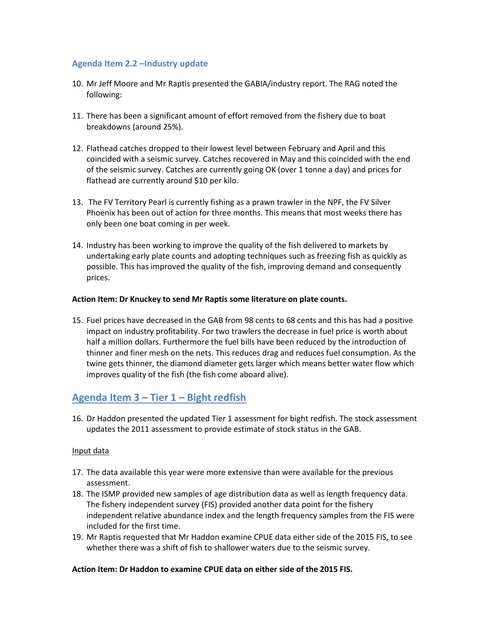### **Agenda Item 2.2 –Industry update**

- 10. Mr Jeff Moore and Mr Raptis presented the GABIA/industry report. The RAG noted the following:
- 11. There has been a significant amount of effort removed from the fishery due to boat breakdowns (around 25%).
- 12. Flathead catches dropped to their lowest level between February and April and this coincided with a seismic survey. Catches recovered in May and this coincided with the end of the seismic survey. Catches are currently going OK (over 1 tonne a day) and prices for flathead are currently around \$10 per kilo.
- 13. The FV Territory Pearl is currently fishing as a prawn trawler in the NPF, the FV Silver Phoenix has been out of action for three months. This means that most weeks there has only been one boat coming in per week.
- 14. Industry has been working to improve the quality of the fish delivered to markets by undertaking early plate counts and adopting techniques such as freezing fish as quickly as possible. This has improved the quality of the fish, improving demand and consequently prices.

#### **Action Item: Dr Knuckey to send Mr Raptis some literature on plate counts.**

15. Fuel prices have decreased in the GAB from 98 cents to 68 cents and this has had a positive impact on industry profitability. For two trawlers the decrease in fuel price is worth about half a million dollars. Furthermore the fuel bills have been reduced by the introduction of thinner and finer mesh on the nets. This reduces drag and reduces fuel consumption. As the twine gets thinner, the diamond diameter gets larger which means better water flow which improves quality of the fish (the fish come aboard alive).

## **Agenda Item 3 – Tier 1 – Bight redfish**

16. Dr Haddon presented the updated Tier 1 assessment for bight redfish. The stock assessment updates the 2011 assessment to provide estimate of stock status in the GAB.

#### Input data

- 17. The data available this year were more extensive than were available for the previous assessment.
- 18. The ISMP provided new samples of age distribution data as well as length frequency data. The fishery independent survey (FIS) provided another data point for the fishery independent relative abundance index and the length frequency samples from the FIS were included for the first time.
- 19. Mr Raptis requested that Mr Haddon examine CPUE data either side of the 2015 FIS, to see whether there was a shift of fish to shallower waters due to the seismic survey.

#### **Action Item: Dr Haddon to examine CPUE data on either side of the 2015 FIS.**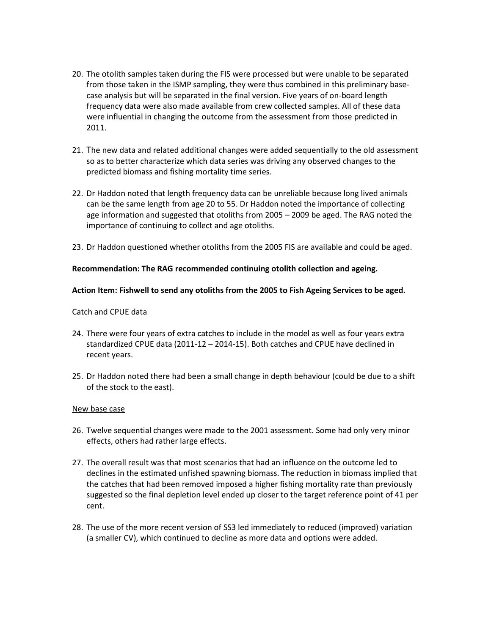- 20. The otolith samples taken during the FIS were processed but were unable to be separated from those taken in the ISMP sampling, they were thus combined in this preliminary basecase analysis but will be separated in the final version. Five years of on-board length frequency data were also made available from crew collected samples. All of these data were influential in changing the outcome from the assessment from those predicted in 2011.
- 21. The new data and related additional changes were added sequentially to the old assessment so as to better characterize which data series was driving any observed changes to the predicted biomass and fishing mortality time series.
- 22. Dr Haddon noted that length frequency data can be unreliable because long lived animals can be the same length from age 20 to 55. Dr Haddon noted the importance of collecting age information and suggested that otoliths from 2005 – 2009 be aged. The RAG noted the importance of continuing to collect and age otoliths.
- 23. Dr Haddon questioned whether otoliths from the 2005 FIS are available and could be aged.

#### **Recommendation: The RAG recommended continuing otolith collection and ageing.**

#### **Action Item: Fishwell to send any otoliths from the 2005 to Fish Ageing Services to be aged.**

#### Catch and CPUE data

- 24. There were four years of extra catches to include in the model as well as four years extra standardized CPUE data (2011-12 – 2014-15). Both catches and CPUE have declined in recent years.
- 25. Dr Haddon noted there had been a small change in depth behaviour (could be due to a shift of the stock to the east).

#### New base case

- 26. Twelve sequential changes were made to the 2001 assessment. Some had only very minor effects, others had rather large effects.
- 27. The overall result was that most scenarios that had an influence on the outcome led to declines in the estimated unfished spawning biomass. The reduction in biomass implied that the catches that had been removed imposed a higher fishing mortality rate than previously suggested so the final depletion level ended up closer to the target reference point of 41 per cent.
- 28. The use of the more recent version of SS3 led immediately to reduced (improved) variation (a smaller CV), which continued to decline as more data and options were added.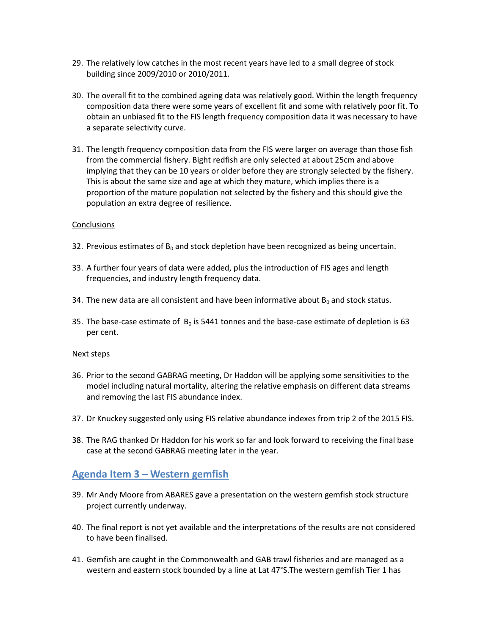- 29. The relatively low catches in the most recent years have led to a small degree of stock building since 2009/2010 or 2010/2011.
- 30. The overall fit to the combined ageing data was relatively good. Within the length frequency composition data there were some years of excellent fit and some with relatively poor fit. To obtain an unbiased fit to the FIS length frequency composition data it was necessary to have a separate selectivity curve.
- 31. The length frequency composition data from the FIS were larger on average than those fish from the commercial fishery. Bight redfish are only selected at about 25cm and above implying that they can be 10 years or older before they are strongly selected by the fishery. This is about the same size and age at which they mature, which implies there is a proportion of the mature population not selected by the fishery and this should give the population an extra degree of resilience.

#### **Conclusions**

- 32. Previous estimates of  $B_0$  and stock depletion have been recognized as being uncertain.
- 33. A further four years of data were added, plus the introduction of FIS ages and length frequencies, and industry length frequency data.
- 34. The new data are all consistent and have been informative about  $B_0$  and stock status.
- 35. The base-case estimate of  $B_0$  is 5441 tonnes and the base-case estimate of depletion is 63 per cent.

#### Next steps

- 36. Prior to the second GABRAG meeting, Dr Haddon will be applying some sensitivities to the model including natural mortality, altering the relative emphasis on different data streams and removing the last FIS abundance index.
- 37. Dr Knuckey suggested only using FIS relative abundance indexes from trip 2 of the 2015 FIS.
- 38. The RAG thanked Dr Haddon for his work so far and look forward to receiving the final base case at the second GABRAG meeting later in the year.

## **Agenda Item 3 – Western gemfish**

- 39. Mr Andy Moore from ABARES gave a presentation on the western gemfish stock structure project currently underway.
- 40. The final report is not yet available and the interpretations of the results are not considered to have been finalised.
- 41. Gemfish are caught in the Commonwealth and GAB trawl fisheries and are managed as a western and eastern stock bounded by a line at Lat 47°S.The western gemfish Tier 1 has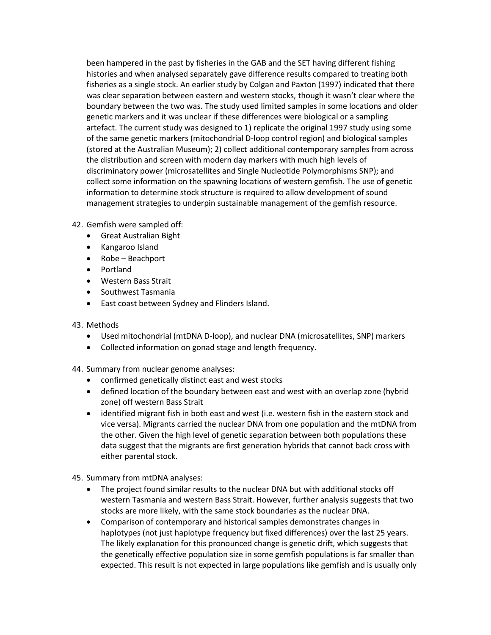been hampered in the past by fisheries in the GAB and the SET having different fishing histories and when analysed separately gave difference results compared to treating both fisheries as a single stock. An earlier study by Colgan and Paxton (1997) indicated that there was clear separation between eastern and western stocks, though it wasn't clear where the boundary between the two was. The study used limited samples in some locations and older genetic markers and it was unclear if these differences were biological or a sampling artefact. The current study was designed to 1) replicate the original 1997 study using some of the same genetic markers (mitochondrial D-loop control region) and biological samples (stored at the Australian Museum); 2) collect additional contemporary samples from across the distribution and screen with modern day markers with much high levels of discriminatory power (microsatellites and Single Nucleotide Polymorphisms SNP); and collect some information on the spawning locations of western gemfish. The use of genetic information to determine stock structure is required to allow development of sound management strategies to underpin sustainable management of the gemfish resource.

- 42. Gemfish were sampled off:
	- Great Australian Bight
	- Kangaroo Island
	- Robe Beachport
	- Portland
	- Western Bass Strait
	- Southwest Tasmania
	- East coast between Sydney and Flinders Island.
- 43. Methods
	- Used mitochondrial (mtDNA D-loop), and nuclear DNA (microsatellites, SNP) markers
	- Collected information on gonad stage and length frequency.
- 44. Summary from nuclear genome analyses:
	- confirmed genetically distinct east and west stocks
	- defined location of the boundary between east and west with an overlap zone (hybrid zone) off western Bass Strait
	- identified migrant fish in both east and west (i.e. western fish in the eastern stock and vice versa). Migrants carried the nuclear DNA from one population and the mtDNA from the other. Given the high level of genetic separation between both populations these data suggest that the migrants are first generation hybrids that cannot back cross with either parental stock.

45. Summary from mtDNA analyses:

- The project found similar results to the nuclear DNA but with additional stocks off western Tasmania and western Bass Strait. However, further analysis suggests that two stocks are more likely, with the same stock boundaries as the nuclear DNA.
- Comparison of contemporary and historical samples demonstrates changes in haplotypes (not just haplotype frequency but fixed differences) over the last 25 years. The likely explanation for this pronounced change is genetic drift, which suggests that the genetically effective population size in some gemfish populations is far smaller than expected. This result is not expected in large populations like gemfish and is usually only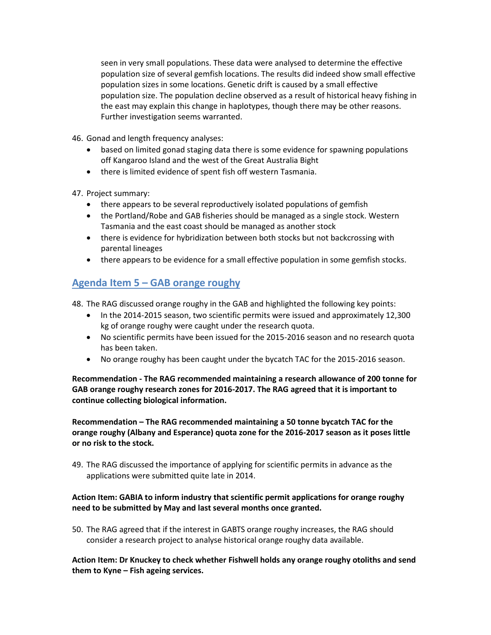seen in very small populations. These data were analysed to determine the effective population size of several gemfish locations. The results did indeed show small effective population sizes in some locations. Genetic drift is caused by a small effective population size. The population decline observed as a result of historical heavy fishing in the east may explain this change in haplotypes, though there may be other reasons. Further investigation seems warranted.

46. Gonad and length frequency analyses:

- based on limited gonad staging data there is some evidence for spawning populations off Kangaroo Island and the west of the Great Australia Bight
- there is limited evidence of spent fish off western Tasmania.

47. Project summary:

- there appears to be several reproductively isolated populations of gemfish
- the Portland/Robe and GAB fisheries should be managed as a single stock. Western Tasmania and the east coast should be managed as another stock
- there is evidence for hybridization between both stocks but not backcrossing with parental lineages
- there appears to be evidence for a small effective population in some gemfish stocks.

## **Agenda Item 5 – GAB orange roughy**

48. The RAG discussed orange roughy in the GAB and highlighted the following key points:

- In the 2014-2015 season, two scientific permits were issued and approximately 12,300 kg of orange roughy were caught under the research quota.
- No scientific permits have been issued for the 2015-2016 season and no research quota has been taken.
- No orange roughy has been caught under the bycatch TAC for the 2015-2016 season.

**Recommendation - The RAG recommended maintaining a research allowance of 200 tonne for GAB orange roughy research zones for 2016-2017. The RAG agreed that it is important to continue collecting biological information.** 

**Recommendation – The RAG recommended maintaining a 50 tonne bycatch TAC for the orange roughy (Albany and Esperance) quota zone for the 2016-2017 season as it poses little or no risk to the stock.**

49. The RAG discussed the importance of applying for scientific permits in advance as the applications were submitted quite late in 2014.

## **Action Item: GABIA to inform industry that scientific permit applications for orange roughy need to be submitted by May and last several months once granted.**

50. The RAG agreed that if the interest in GABTS orange roughy increases, the RAG should consider a research project to analyse historical orange roughy data available.

**Action Item: Dr Knuckey to check whether Fishwell holds any orange roughy otoliths and send them to Kyne – Fish ageing services.**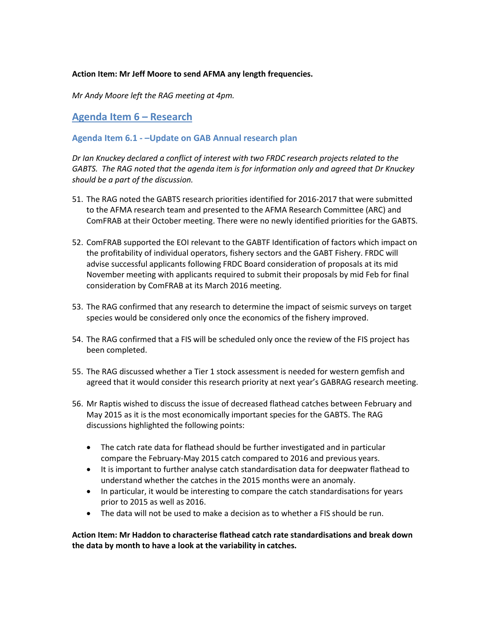#### **Action Item: Mr Jeff Moore to send AFMA any length frequencies.**

*Mr Andy Moore left the RAG meeting at 4pm.*

**Agenda Item 6 – Research**

#### **Agenda Item 6.1 - –Update on GAB Annual research plan**

*Dr Ian Knuckey declared a conflict of interest with two FRDC research projects related to the GABTS. The RAG noted that the agenda item is for information only and agreed that Dr Knuckey should be a part of the discussion.* 

- 51. The RAG noted the GABTS research priorities identified for 2016-2017 that were submitted to the AFMA research team and presented to the AFMA Research Committee (ARC) and ComFRAB at their October meeting. There were no newly identified priorities for the GABTS.
- 52. ComFRAB supported the EOI relevant to the GABTF Identification of factors which impact on the profitability of individual operators, fishery sectors and the GABT Fishery. FRDC will advise successful applicants following FRDC Board consideration of proposals at its mid November meeting with applicants required to submit their proposals by mid Feb for final consideration by ComFRAB at its March 2016 meeting.
- 53. The RAG confirmed that any research to determine the impact of seismic surveys on target species would be considered only once the economics of the fishery improved.
- 54. The RAG confirmed that a FIS will be scheduled only once the review of the FIS project has been completed.
- 55. The RAG discussed whether a Tier 1 stock assessment is needed for western gemfish and agreed that it would consider this research priority at next year's GABRAG research meeting.
- 56. Mr Raptis wished to discuss the issue of decreased flathead catches between February and May 2015 as it is the most economically important species for the GABTS. The RAG discussions highlighted the following points:
	- The catch rate data for flathead should be further investigated and in particular compare the February-May 2015 catch compared to 2016 and previous years.
	- It is important to further analyse catch standardisation data for deepwater flathead to understand whether the catches in the 2015 months were an anomaly.
	- In particular, it would be interesting to compare the catch standardisations for years prior to 2015 as well as 2016.
	- The data will not be used to make a decision as to whether a FIS should be run.

**Action Item: Mr Haddon to characterise flathead catch rate standardisations and break down the data by month to have a look at the variability in catches.**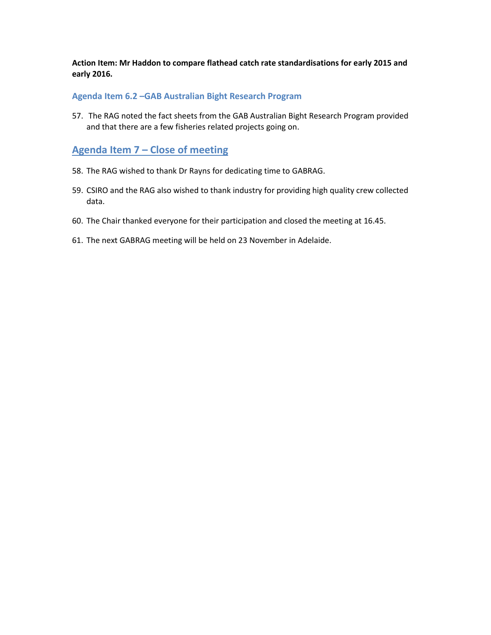**Action Item: Mr Haddon to compare flathead catch rate standardisations for early 2015 and early 2016.**

#### **Agenda Item 6.2 –GAB Australian Bight Research Program**

57. The RAG noted the fact sheets from the GAB Australian Bight Research Program provided and that there are a few fisheries related projects going on.

## **Agenda Item 7 – Close of meeting**

- 58. The RAG wished to thank Dr Rayns for dedicating time to GABRAG.
- 59. CSIRO and the RAG also wished to thank industry for providing high quality crew collected data.
- 60. The Chair thanked everyone for their participation and closed the meeting at 16.45.
- 61. The next GABRAG meeting will be held on 23 November in Adelaide.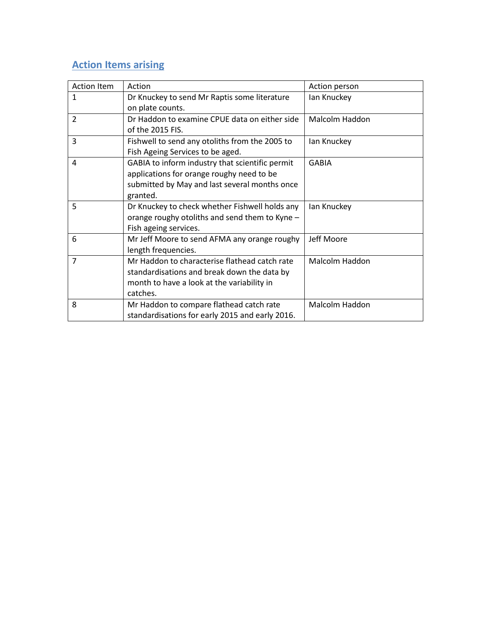## **Action Items arising**

| <b>Action Item</b> | Action                                          | Action person  |
|--------------------|-------------------------------------------------|----------------|
| 1                  | Dr Knuckey to send Mr Raptis some literature    | lan Knuckey    |
|                    | on plate counts.                                |                |
| $\overline{2}$     | Dr Haddon to examine CPUE data on either side   | Malcolm Haddon |
|                    | of the 2015 FIS.                                |                |
| 3                  | Fishwell to send any otoliths from the 2005 to  | lan Knuckey    |
|                    | Fish Ageing Services to be aged.                |                |
| 4                  | GABIA to inform industry that scientific permit | <b>GABIA</b>   |
|                    | applications for orange roughy need to be       |                |
|                    | submitted by May and last several months once   |                |
|                    | granted.                                        |                |
| 5                  | Dr Knuckey to check whether Fishwell holds any  | lan Knuckey    |
|                    | orange roughy otoliths and send them to Kyne -  |                |
|                    | Fish ageing services.                           |                |
| 6                  | Mr Jeff Moore to send AFMA any orange roughy    | Jeff Moore     |
|                    | length frequencies.                             |                |
| $\overline{7}$     | Mr Haddon to characterise flathead catch rate   | Malcolm Haddon |
|                    | standardisations and break down the data by     |                |
|                    | month to have a look at the variability in      |                |
|                    | catches.                                        |                |
| 8                  | Mr Haddon to compare flathead catch rate        | Malcolm Haddon |
|                    | standardisations for early 2015 and early 2016. |                |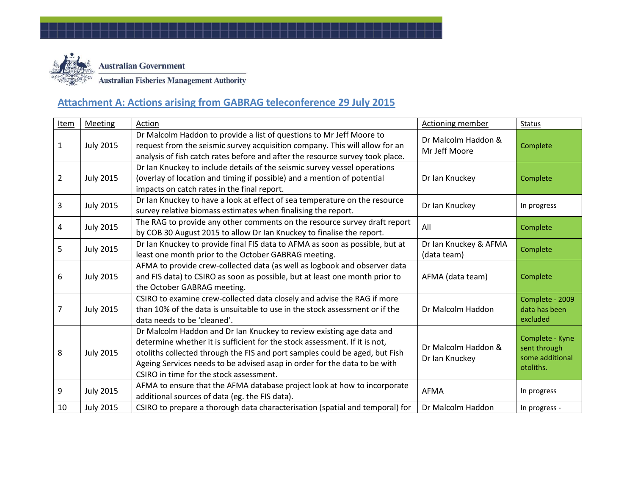

# **Attachment A: Actions arising from GABRAG teleconference 29 July 2015**

| <b>Item</b> | <b>Meeting</b>   | Action                                                                                                                                                                                                                                                                                                                                                    | <b>Actioning member</b>               | Status                                                          |
|-------------|------------------|-----------------------------------------------------------------------------------------------------------------------------------------------------------------------------------------------------------------------------------------------------------------------------------------------------------------------------------------------------------|---------------------------------------|-----------------------------------------------------------------|
| 1           | <b>July 2015</b> | Dr Malcolm Haddon to provide a list of questions to Mr Jeff Moore to<br>request from the seismic survey acquisition company. This will allow for an<br>analysis of fish catch rates before and after the resource survey took place.                                                                                                                      | Dr Malcolm Haddon &<br>Mr Jeff Moore  | Complete                                                        |
| 2           | <b>July 2015</b> | Dr Ian Knuckey to include details of the seismic survey vessel operations<br>(overlay of location and timing if possible) and a mention of potential<br>impacts on catch rates in the final report.                                                                                                                                                       | Dr Ian Knuckey                        | Complete                                                        |
| 3           | <b>July 2015</b> | Dr Ian Knuckey to have a look at effect of sea temperature on the resource<br>survey relative biomass estimates when finalising the report.                                                                                                                                                                                                               | Dr Ian Knuckey                        | In progress                                                     |
| 4           | <b>July 2015</b> | The RAG to provide any other comments on the resource survey draft report<br>by COB 30 August 2015 to allow Dr Ian Knuckey to finalise the report.                                                                                                                                                                                                        | All                                   | Complete                                                        |
| 5           | <b>July 2015</b> | Dr Ian Knuckey to provide final FIS data to AFMA as soon as possible, but at<br>least one month prior to the October GABRAG meeting.                                                                                                                                                                                                                      | Dr Ian Knuckey & AFMA<br>(data team)  | Complete                                                        |
| 6           | <b>July 2015</b> | AFMA to provide crew-collected data (as well as logbook and observer data<br>and FIS data) to CSIRO as soon as possible, but at least one month prior to<br>the October GABRAG meeting.                                                                                                                                                                   | AFMA (data team)                      | Complete                                                        |
| 7           | <b>July 2015</b> | CSIRO to examine crew-collected data closely and advise the RAG if more<br>than 10% of the data is unsuitable to use in the stock assessment or if the<br>data needs to be 'cleaned'.                                                                                                                                                                     | Dr Malcolm Haddon                     | Complete - 2009<br>data has been<br>excluded                    |
| 8           | <b>July 2015</b> | Dr Malcolm Haddon and Dr Ian Knuckey to review existing age data and<br>determine whether it is sufficient for the stock assessment. If it is not,<br>otoliths collected through the FIS and port samples could be aged, but Fish<br>Ageing Services needs to be advised asap in order for the data to be with<br>CSIRO in time for the stock assessment. | Dr Malcolm Haddon &<br>Dr Ian Knuckey | Complete - Kyne<br>sent through<br>some additional<br>otoliths. |
| 9           | <b>July 2015</b> | AFMA to ensure that the AFMA database project look at how to incorporate<br>additional sources of data (eg. the FIS data).                                                                                                                                                                                                                                | AFMA                                  | In progress                                                     |
| 10          | <b>July 2015</b> | CSIRO to prepare a thorough data characterisation (spatial and temporal) for                                                                                                                                                                                                                                                                              | Dr Malcolm Haddon                     | In progress -                                                   |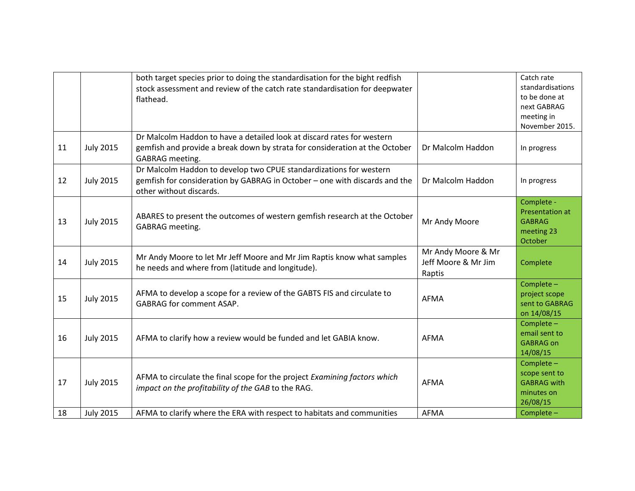|    |                  | both target species prior to doing the standardisation for the bight redfish<br>stock assessment and review of the catch rate standardisation for deepwater<br>flathead.        |                                                     | Catch rate<br>standardisations<br>to be done at<br>next GABRAG<br>meeting in<br>November 2015. |
|----|------------------|---------------------------------------------------------------------------------------------------------------------------------------------------------------------------------|-----------------------------------------------------|------------------------------------------------------------------------------------------------|
| 11 | <b>July 2015</b> | Dr Malcolm Haddon to have a detailed look at discard rates for western<br>gemfish and provide a break down by strata for consideration at the October<br><b>GABRAG</b> meeting. | Dr Malcolm Haddon                                   | In progress                                                                                    |
| 12 | <b>July 2015</b> | Dr Malcolm Haddon to develop two CPUE standardizations for western<br>gemfish for consideration by GABRAG in October - one with discards and the<br>other without discards.     | Dr Malcolm Haddon                                   | In progress                                                                                    |
| 13 | <b>July 2015</b> | ABARES to present the outcomes of western gemfish research at the October<br><b>GABRAG</b> meeting.                                                                             | Mr Andy Moore                                       | Complete -<br>Presentation at<br><b>GABRAG</b><br>meeting 23<br>October                        |
| 14 | <b>July 2015</b> | Mr Andy Moore to let Mr Jeff Moore and Mr Jim Raptis know what samples<br>he needs and where from (latitude and longitude).                                                     | Mr Andy Moore & Mr<br>Jeff Moore & Mr Jim<br>Raptis | Complete                                                                                       |
| 15 | <b>July 2015</b> | AFMA to develop a scope for a review of the GABTS FIS and circulate to<br><b>GABRAG for comment ASAP.</b>                                                                       | <b>AFMA</b>                                         | Complete -<br>project scope<br>sent to GABRAG<br>on 14/08/15                                   |
| 16 | <b>July 2015</b> | AFMA to clarify how a review would be funded and let GABIA know.                                                                                                                | <b>AFMA</b>                                         | Complete -<br>email sent to<br><b>GABRAG on</b><br>14/08/15                                    |
| 17 | <b>July 2015</b> | AFMA to circulate the final scope for the project Examining factors which<br>impact on the profitability of the GAB to the RAG.                                                 | <b>AFMA</b>                                         | Complete -<br>scope sent to<br><b>GABRAG</b> with<br>minutes on<br>26/08/15                    |
| 18 | <b>July 2015</b> | AFMA to clarify where the ERA with respect to habitats and communities                                                                                                          | <b>AFMA</b>                                         | Complete -                                                                                     |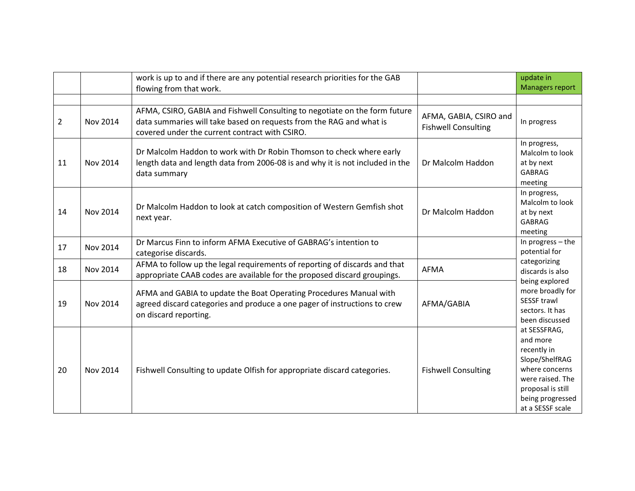|    |          | work is up to and if there are any potential research priorities for the GAB<br>flowing from that work.                                                                                             |                                                      | update in<br><b>Managers report</b>                                                                                                                          |
|----|----------|-----------------------------------------------------------------------------------------------------------------------------------------------------------------------------------------------------|------------------------------------------------------|--------------------------------------------------------------------------------------------------------------------------------------------------------------|
|    |          |                                                                                                                                                                                                     |                                                      |                                                                                                                                                              |
| 2  | Nov 2014 | AFMA, CSIRO, GABIA and Fishwell Consulting to negotiate on the form future<br>data summaries will take based on requests from the RAG and what is<br>covered under the current contract with CSIRO. | AFMA, GABIA, CSIRO and<br><b>Fishwell Consulting</b> | In progress                                                                                                                                                  |
| 11 | Nov 2014 | Dr Malcolm Haddon to work with Dr Robin Thomson to check where early<br>length data and length data from 2006-08 is and why it is not included in the<br>data summary                               | Dr Malcolm Haddon                                    | In progress,<br>Malcolm to look<br>at by next<br><b>GABRAG</b><br>meeting                                                                                    |
| 14 | Nov 2014 | Dr Malcolm Haddon to look at catch composition of Western Gemfish shot<br>next year.                                                                                                                | Dr Malcolm Haddon                                    | In progress,<br>Malcolm to look<br>at by next<br><b>GABRAG</b><br>meeting                                                                                    |
| 17 | Nov 2014 | Dr Marcus Finn to inform AFMA Executive of GABRAG's intention to<br>categorise discards.                                                                                                            |                                                      | In progress - the<br>potential for                                                                                                                           |
| 18 | Nov 2014 | AFMA to follow up the legal requirements of reporting of discards and that<br>appropriate CAAB codes are available for the proposed discard groupings.                                              | <b>AFMA</b>                                          | categorizing<br>discards is also                                                                                                                             |
| 19 | Nov 2014 | AFMA and GABIA to update the Boat Operating Procedures Manual with<br>agreed discard categories and produce a one pager of instructions to crew<br>on discard reporting.                            | AFMA/GABIA                                           | being explored<br>more broadly for<br>SESSF trawl<br>sectors. It has<br>been discussed                                                                       |
| 20 | Nov 2014 | Fishwell Consulting to update Olfish for appropriate discard categories.                                                                                                                            | <b>Fishwell Consulting</b>                           | at SESSFRAG,<br>and more<br>recently in<br>Slope/ShelfRAG<br>where concerns<br>were raised. The<br>proposal is still<br>being progressed<br>at a SESSF scale |